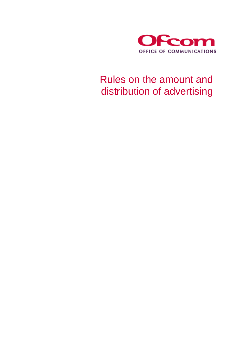

# Rules on the amount and distribution of advertising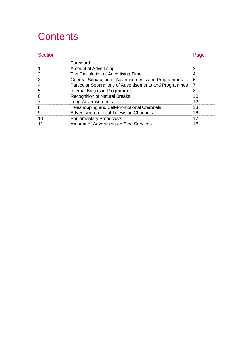# **Contents**

#### Section **Page**

|    | Foreword                                                |    |
|----|---------------------------------------------------------|----|
|    | <b>Amount of Advertising</b>                            | 2  |
|    | The Calculation of Advertising Time                     |    |
|    | General Separation of Advertisements and Programmes     | 5  |
|    | Particular Separations of Advertisements and Programmes | 7  |
| 5  | Internal Breaks in Programmes                           | 8  |
| 6  | <b>Recognition of Natural Breaks</b>                    | 10 |
|    | <b>Long Advertisements</b>                              | 12 |
| 8  | Teleshopping and Self-Promotional Channels              | 13 |
| 9  | Advertising on Local Television Channels                | 16 |
| 10 | <b>Parliamentary Broadcasts</b>                         | 17 |
|    | Amount of Advertising on Text Services                  | 18 |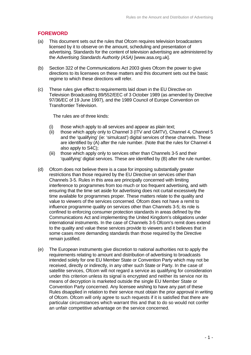#### **FOREWORD**

- (a) This document sets out the rules that Ofcom requires television broadcasters licensed by it to observe on the amount, scheduling and presentation of advertising. Standards for the content of television advertising are administered by the *Advertising Standards Authority (ASA)* [www.asa.org.uk].
- (b) Section 322 of the Communications Act 2003 gives Ofcom the power to give directions to its licensees on these matters and this document sets out the basic regime to which these directions will refer.
- (c) These rules give effect to requirements laid down in the EU Directive on Television Broadcasting 89/552/EEC of 3 October 1989 (as amended by Directive 97/36/EC of 19 June 1997), and the 1989 Council of Europe Convention on Transfrontier Television.

The rules are of three kinds:

- (i) those which apply to all services and appear as plain text;
- (ii) those which apply only to Channel 3 (ITV and GMTV), Channel 4, Channel 5 and the 'qualifying' (ie: 'simulcast') digital services of these channels. These are identified by (A) after the rule number. (Note that the rules for Channel 4 also apply to S4C);
- (iii) those which apply only to services other than Channels 3-5 and their 'qualifying' digital services. These are identified by (B) after the rule number.
- (d) Ofcom does not believe there is a case for imposing substantially greater restrictions than those required by the EU Directive on services other than Channels 3-5. Rules in this area are principally concerned with limiting interference to programmes from too much or too frequent advertising, and with ensuring that the time set aside for advertising does not curtail excessively the time available for programmes proper. These matters relate to the quality and value to viewers of the services concerned. Ofcom does not have a remit to influence programme quality on services other than Channels 3-5; its role is confined to enforcing consumer protection standards in areas defined by the Communications Act and implementing the United Kingdom's obligations under international instruments. In the case of Channels 3-5 Ofcom's remit does extend to the quality and value these services provide to viewers and it believes that in some cases more demanding standards than those required by the Directive remain justified.
- (e) The European instruments give discretion to national authorities not to apply the requirements relating to amount and distribution of advertising to broadcasts intended solely for one EU Member State or Convention Party which may not be received, directly or indirectly, in any other such State or Party. In the case of satellite services, Ofcom will not regard a service as qualifying for consideration under this criterion unless its signal is encrypted and neither its service nor its means of decryption is marketed outside the single EU Member State or Convention Party concerned. Any licensee wishing to have any part of these Rules disapplied in relation to their service must obtain the prior approval in writing of Ofcom. Ofcom will only agree to such requests if it is satisfied that there are particular circumstances which warrant this and that to do so would not confer an unfair competitive advantage on the service concerned.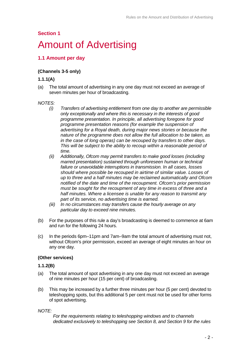#### **Section 1**

### Amount of Advertising

#### **1.1 Amount per day**

#### **(Channels 3-5 only)**

#### **1.1.1(A)**

(a) The total amount of advertising in any one day must not exceed an average of seven minutes per hour of broadcasting.

#### *NOTES:*

- *(i) Transfers of advertising entitlement from one day to another are permissible only exceptionally and where this is necessary in the interests of good programme presentation. In principle, all advertising foregone for good programme presentation reasons (for example the suspension of advertising for a Royal death, during major news stories or because the nature of the programme does not allow the full allocation to be taken, as in the case of long operas) can be recouped by transfers to other days. This will be subject to the ability to recoup within a reasonable period of time.*
- *(ii) Additionally, Ofcom may permit transfers to make good losses (including marred presentation) sustained through unforeseen human or technical failure or unavoidable interruptions in transmission. In all cases, losses should where possible be recouped in airtime of similar value. Losses of up to three and a half minutes may be reclaimed automatically and Ofcom notified of the date and time of the recoupment. Ofcom's prior permission must be sought for the recoupment of any time in excess of three and a half minutes. Where a licensee is unable for any reason to transmit any part of its service, no advertising time is earned.*
- *(iii) In no circumstances may transfers cause the hourly average on any particular day to exceed nine minutes.*
- (b) For the purposes of this rule a day's broadcasting is deemed to commence at 6am and run for the following 24 hours.
- (c) In the periods 6pm–11pm and 7am–9am the total amount of advertising must not, without Ofcom's prior permission, exceed an average of eight minutes an hour on any one day.

#### **(Other services)**

#### **1.1.2(B)**

- (a) The total amount of spot advertising in any one day must not exceed an average of nine minutes per hour (15 per cent) of broadcasting.
- (b) This may be increased by a further three minutes per hour (5 per cent) devoted to teleshopping spots, but this additional 5 per cent must not be used for other forms of spot advertising.

*NOTE:* 

 *For the requirements relating to teleshopping windows and to channels dedicated exclusively to teleshopping see Section 8, and Section 9 for the rules*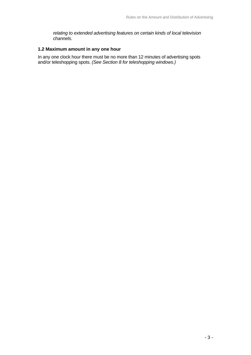*relating to extended advertising features on certain kinds of local television channels.* 

#### **1.2 Maximum amount in any one hour**

In any one clock hour there must be no more than 12 minutes of advertising spots and/or teleshopping spots. *(See Section 8 for teleshopping windows.)*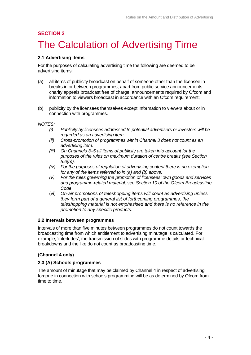### **SECTION 2**  The Calculation of Advertising Time

#### **2.1 Advertising items**

For the purposes of calculating advertising time the following are deemed to be advertising items:

- (a) all items of publicity broadcast on behalf of someone other than the licensee in breaks in or between programmes, apart from public service announcements, charity appeals broadcast free of charge, announcements required by Ofcom and information to viewers broadcast in accordance with an Ofcom requirement;
- (b) publicity by the licensees themselves except information to viewers about or in connection with programmes.

*NOTES:* 

- *(i) Publicity by licensees addressed to potential advertisers or investors will be regarded as an advertising item.*
- *(ii) Cross-promotion of programmes within Channel 3 does not count as an advertising item.*
- *(iii) On Channels 3–5 all items of publicity are taken into account for the purposes of the rules on maximum duration of centre breaks (see Section 5.6(b)).*
- *(iv) For the purposes of regulation of advertising content there is no exemption for any of the items referred to in (a) and (b) above.*
- *(v) For the rules governing the promotion of licensees' own goods and services and programme-related material, see Section 10 of the Ofcom Broadcasting Code*
- (vi) *On-air promotions of teleshopping items will count as advertising unless they form part of a general list of forthcoming programmes, the teleshopping material is not emphasised and there is no reference in the promotion to any specific products.*

#### **2.2 Intervals between programmes**

Intervals of more than five minutes between programmes do not count towards the broadcasting time from which entitlement to advertising minutage is calculated. For example, 'interludes', the transmission of slides with programme details or technical breakdowns and the like do not count as broadcasting time.

#### **(Channel 4 only)**

#### **2.3 (A) Schools programmes**

The amount of minutage that may be claimed by Channel 4 in respect of advertising forgone in connection with schools programming will be as determined by Ofcom from time to time.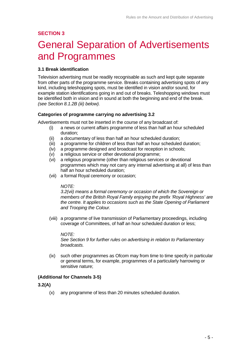# General Separation of Advertisements and Programmes

#### **3.1 Break identification**

Television advertising must be readily recognisable as such and kept quite separate from other parts of the programme service. Breaks containing advertising spots of any kind, including teleshopping spots, must be identified in vision and/or sound, for example station identifications going in and out of breaks. Teleshopping windows must be identified both in vision and in sound at both the beginning and end of the break. *(see Section 8.1.2B (iii) below).*

#### **Categories of programme carrying no advertising 3.2**

Advertisements must not be inserted in the course of any broadcast of:

- (i) a news or current affairs programme of less than half an hour scheduled duration;
- (ii) a documentary of less than half an hour scheduled duration;
- (iii) a programme for children of less than half an hour scheduled duration;
- (iv) a programme designed and broadcast for reception in schools;
- (v) a religious service or other devotional programme;
- (vi) a religious programme (other than religious services or devotional programmes which may not carry any internal advertising at all) of less than half an hour scheduled duration;
- (vii) a formal Royal ceremony or occasion;

#### *NOTE:*

*3.2(vii) means a formal ceremony or occasion of which the Sovereign or members of the British Royal Family enjoying the prefix 'Royal Highness' are the centre. It applies to occasions such as the State Opening of Parliament and Trooping the Colour.* 

(viii) a programme of live transmission of Parliamentary proceedings, including coverage of Committees, of half an hour scheduled duration or less;

#### *NOTE:*

*See Section 9 for further rules on advertising in relation to Parliamentary broadcasts.*

(ix) such other programmes as Ofcom may from time to time specify in particular or general terms, for example, programmes of a particularly harrowing or sensitive nature;

#### **(Additional for Channels 3-5)**

#### **3.2(A)**

(x) any programme of less than 20 minutes scheduled duration.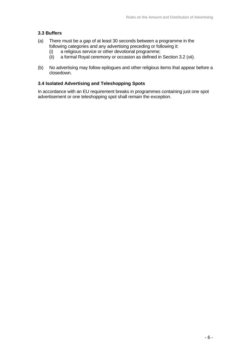#### **3.3 Buffers**

- (a) There must be a gap of at least 30 seconds between a programme in the following categories and any advertising preceding or following it:
	- (i) a religious service or other devotional programme;
	- (ii) a formal Royal ceremony or occasion as defined in Section 3.2 (vii).
- (b) No advertising may follow epilogues and other religious items that appear before a closedown.

#### **3.4 Isolated Advertising and Teleshopping Spots**

In accordance with an EU requirement breaks in programmes containing just one spot advertisement or one teleshopping spot shall remain the exception.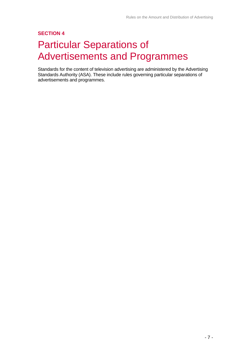# Particular Separations of Advertisements and Programmes

Standards for the content of television advertising are administered by the Advertising Standards Authority (ASA). These include rules governing particular separations of advertisements and programmes.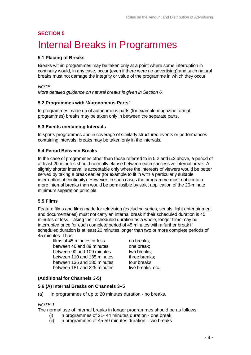# Internal Breaks in Programmes

#### **5.1 Placing of Breaks**

Breaks within programmes may be taken only at a point where some interruption in continuity would, in any case, occur (even if there were no advertising) and such natural breaks must not damage the integrity or value of the programme in which they occur.

*NOTE: More detailed guidance on natural breaks is given in Section 6.* 

#### **5.2 Programmes with 'Autonomous Parts'**

In programmes made up of autonomous parts (for example magazine format programmes) breaks may be taken only in between the separate parts.

#### **5.3 Events containing Intervals**

In sports programmes and in coverage of similarly structured events or performances containing intervals, breaks may be taken only in the intervals.

#### **5.4 Period Between Breaks**

In the case of programmes other than those referred to in 5.2 and 5.3 above, a period of at least 20 minutes should normally elapse between each successive internal break. A slightly shorter interval is acceptable only where the interests of viewers would be better served by taking a break earlier (for example to fit in with a particularly suitable interruption of continuity). However, in such cases the programme must not contain more internal breaks than would be permissible by strict application of the 20-minute minimum separation principle.

#### **5.5 Films**

Feature films and films made for television (excluding series, serials, light entertainment and documentaries) must not carry an internal break if their scheduled duration is 45 minutes or less. Taking their scheduled duration as a whole, longer films may be interrupted once for each complete period of 45 minutes with a further break if scheduled duration is at least 20 minutes longer than two or more complete periods of 45 minutes. Thus:

films of 45 minutes or less no breaks: between 46 and 89 minutes one break: between 90 and 109 minutes two breaks; between 110 and 135 minutes three breaks; between 136 and 180 minutes four breaks: between 181 and 225 minutes five breaks, etc.

#### **(Additional for Channels 3-5)**

#### **5.6 (A) Internal Breaks on Channels 3–5**

(a) In programmes of up to 20 minutes duration - no breaks.

#### *NOTE 1*

The normal use of internal breaks in longer programmes should be as follows:

- (i) in programmes of 21- 44 minutes duration one break
- (ii) in programmes of 45-59 minutes duration two breaks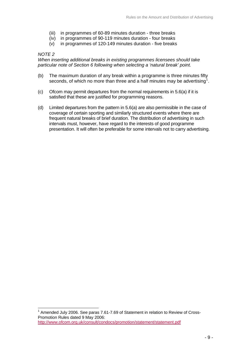- (iii) in programmes of 60-89 minutes duration three breaks
- (iv) in programmes of 90-119 minutes duration four breaks
- (v) in programmes of 120-149 minutes duration five breaks

#### *NOTE 2*

*When inserting additional breaks in existing programmes licensees should take particular note of Section 6 following when selecting a 'natural break' point.*

- (b) The maximum duration of any break within a programme is three minutes fifty seconds, of which no more than three and a half minutes may be advertising<sup>[1](#page-10-0)</sup>.
- (c) Ofcom may permit departures from the normal requirements in 5.6(a) if it is satisfied that these are justified for programming reasons.
- (d) Limited departures from the pattern in 5.6(a) are also permissible in the case of coverage of certain sporting and similarly structured events where there are frequent natural breaks of brief duration. The distribution of advertising in such intervals must, however, have regard to the interests of good programme presentation. It will often be preferable for some intervals not to carry advertising.

<span id="page-10-0"></span>  $1$  Amended July 2006. See paras 7.61-7.69 of Statement in relation to Review of Cross-Promotion Rules dated 9 May 2006: <http://www.ofcom.org.uk/consult/condocs/promotion/statement/statement.pdf>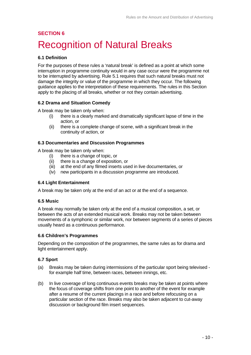### **SECTION 6**  Recognition of Natural Breaks

#### **6.1 Definition**

For the purposes of these rules a 'natural break' is defined as a point at which some interruption in programme continuity would in any case occur were the programme not to be interrupted by advertising. Rule 5.1 requires that such natural breaks must not damage the integrity or value of the programme in which they occur. The following guidance applies to the interpretation of these requirements. The rules in this Section apply to the placing of all breaks, whether or not they contain advertising.

#### **6.2 Drama and Situation Comedy**

A break may be taken only when:

- (i) there is a clearly marked and dramatically significant lapse of time in the action, or
- (ii) there is a complete change of scene, with a significant break in the continuity of action, or

#### **6.3 Documentaries and Discussion Programmes**

A break may be taken only when:

- (i) there is a change of topic, or
- (ii) there is a change of exposition, or
- (iii) at the end of any filmed inserts used in live documentaries, or
- (iv) new participants in a discussion programme are introduced.

#### **6.4 Light Entertainment**

A break may be taken only at the end of an act or at the end of a sequence.

#### **6.5 Music**

A break may normally be taken only at the end of a musical composition, a set, or between the acts of an extended musical work. Breaks may not be taken between movements of a symphonic or similar work, nor between segments of a series of pieces usually heard as a continuous performance.

#### **6.6 Children's Programmes**

Depending on the composition of the programmes, the same rules as for drama and light entertainment apply.

#### **6.7 Sport**

- (a) Breaks may be taken during intermissions of the particular sport being televised for example half time, between races, between innings, etc.
- (b) In live coverage of long continuous events breaks may be taken at points where the focus of coverage shifts from one point to another of the event for example after a resume of the current placings in a race and before refocusing on a particular section of the race. Breaks may also be taken adjacent to cut-away discussion or background film insert sequences.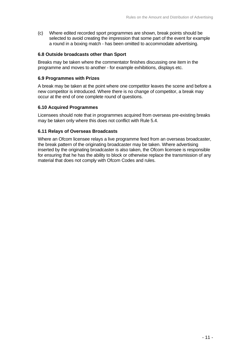(c) Where edited recorded sport programmes are shown, break points should be selected to avoid creating the impression that some part of the event for example a round in a boxing match - has been omitted to accommodate advertising.

#### **6.8 Outside broadcasts other than Sport**

Breaks may be taken where the commentator finishes discussing one item in the programme and moves to another - for example exhibitions, displays etc.

#### **6.9 Programmes with Prizes**

A break may be taken at the point where one competitor leaves the scene and before a new competitor is introduced. Where there is no change of competitor, a break may occur at the end of one complete round of questions.

#### **6.10 Acquired Programmes**

Licensees should note that in programmes acquired from overseas pre-existing breaks may be taken only where this does not conflict with Rule 5.4.

#### **6.11 Relays of Overseas Broadcasts**

Where an Ofcom licensee relays a live programme feed from an overseas broadcaster, the break pattern of the originating broadcaster may be taken. Where advertising inserted by the originating broadcaster is also taken, the Ofcom licensee is responsible for ensuring that he has the ability to block or otherwise replace the transmission of any material that does not comply with Ofcom Codes and rules.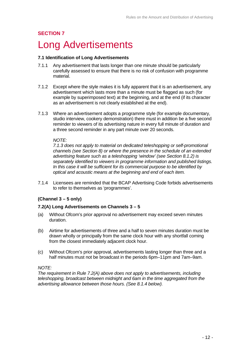### Long Advertisements

#### **7.1 Identification of Long Advertisements**

- 7.1.1 Any advertisement that lasts longer than one minute should be particularly carefully assessed to ensure that there is no risk of confusion with programme material.
- 7.1.2 Except where the style makes it is fully apparent that it is an advertisement, any advertisement which lasts more than a minute must be flagged as such (for example by superimposed text) at the beginning, and at the end (if its character as an advertisement is not clearly established at the end).
- 7.1.3 Where an advertisement adopts a programme style (for example documentary, studio interview, cookery demonstration) there must in addition be a five second reminder to viewers of its advertising nature in every full minute of duration and a three second reminder in any part minute over 20 seconds.

#### *NOTE:*

*7.1.3 does not apply to material on dedicated teleshopping or self-promotional channels (see Section 8) or where the presence in the schedule of an extended advertising feature such as a teleshopping 'window' (see Section 8.1.2) is separately identified to viewers in programme information and published listings. In this case it will be sufficient for its commercial purpose to be identified by optical and acoustic means at the beginning and end of each item.* 

7.1.4 Licensees are reminded that the BCAP Advertising Code forbids advertisements to refer to themselves as 'programmes'.

#### **(Channel 3 – 5 only)**

#### **7.2(A) Long Advertisements on Channels 3 – 5**

- (a) Without Ofcom's prior approval no advertisement may exceed seven minutes duration.
- (b) Airtime for advertisements of three and a half to seven minutes duration must be drawn wholly or principally from the same clock hour with any shortfall coming from the closest immediately adjacent clock hour.
- (c) Without Ofcom's prior approval, advertisements lasting longer than three and a half minutes must not be broadcast in the periods 6pm–11pm and 7am–9am.

#### *NOTE:*

*The requirement in Rule 7.2(A) above does not apply to advertisements, including teleshopping, broadcast between midnight and 6am in the time aggregated from the advertising allowance between those hours. (See 8.1.4 below).*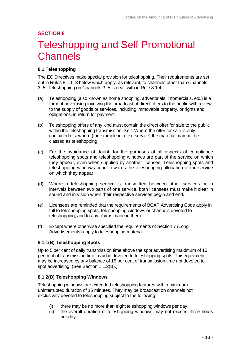# Teleshopping and Self Promotional **Channels**

#### **8.1 Teleshopping**

The EC Directives make special provision for teleshopping. Their requirements are set out in Rules 8.1.1–3 below which apply, as relevant, to channels other than Channels 3–5. Teleshopping on Channels 3–5 is dealt with in Rule 8.1.4.

- (a) Teleshopping (also known as home shopping, advertorials, infomercials, etc.) is a form of advertising involving the broadcast of direct offers to the public with a view to the supply of goods or services, including immovable property, or rights and obligations, in return for payment.
- (b) Teleshopping offers of any kind must contain the direct offer for sale to the public within the teleshopping transmission itself. Where the offer for sale is only contained elsewhere (for example in a text service) the material may not be classed as teleshopping.
- (c) For the avoidance of doubt, for the purposes of all aspects of compliance teleshopping spots and teleshopping windows are part of the service on which they appear, even when supplied by another licensee. Teleshopping spots and teleshopping windows count towards the teleshopping allocation of the service on which they appear.
- (d) Where a teleshopping service is transmitted between other services or in intervals between two parts of one service, both licensees must make it clear in sound and in vision when their respective services begin and end.
- (e) Licensees are reminded that the requirements of BCAP Advertising Code apply in full to teleshopping spots, teleshopping windows or channels devoted to teleshopping, and to any claims made in them.
- (f) Except where otherwise specified the requirements of Section 7 (Long Advertisements) apply to teleshopping material.

#### **8.1.1(B) Teleshopping Spots**

Up to 5 per cent of daily transmission time above the spot advertising maximum of 15 per cent of transmission time may be devoted to teleshopping spots. This 5 per cent may be increased by any balance of 15 per cent of transmission time not devoted to spot advertising. (See Section 1.1.2(B).)

#### **8.1.2(B) Teleshopping Windows**

Teleshopping windows are extended teleshopping features with a minimum uninterrupted duration of 15 minutes. They may be broadcast on channels not exclusively devoted to teleshopping subject to the following:

- (i) there may be no more than eight teleshopping windows per day;
- (ii) the overall duration of teleshopping windows may not exceed three hours per day;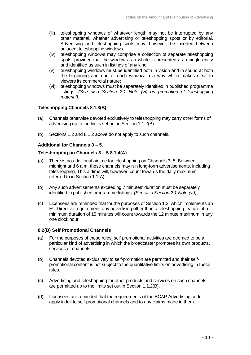- (iii) teleshopping windows of whatever length may not be interrupted by any other material, whether advertising or teleshopping spots or by editorial. Advertising and teleshopping spots may, however, be inserted between adjacent teleshopping windows.
- (iv) teleshopping windows may comprise a collection of separate teleshopping spots, provided that the window as a whole is presented as a single entity and identified as such in listings of any kind.
- (v) teleshopping windows must be identified both in vision and in sound at both the beginning and end of each window in a way which makes clear to viewers its commercial nature;
- (vi) teleshopping windows must be separately identified in published programme listings. *(See also Section 2.1 Note (vi) on promotion of teleshopping material).*

#### **Teleshopping Channels 8.1.3(B)**

- (a) Channels otherwise devoted exclusively to teleshopping may carry other forms of advertising up to the limits set out in Section 1.1.2(B).
- (b) Sections 1.2 and 8.1.2 above do not apply to such channels.

#### **Additional for Channels 3 – 5.**

#### **Teleshopping on Channels 3 – 5 8.1.4(A)**

- (a) There is no additional airtime for teleshopping on Channels 3–5. Between midnight and 6 a.m. these channels may run long-form advertisements, including teleshopping. This airtime will, however, count towards the daily maximum referred to in Section 1.1(A).
- (b) Any such advertisements exceeding 7 minutes' duration must be separately identified in published programme listings. *(See also Section 2.1 Note (vi))*
- (c) Licensees are reminded that for the purposes of Section 1.2, which implements an EU Directive requirement, any advertising other than a teleshopping feature of a minimum duration of 15 minutes will count towards the 12 minute maximum in any one clock hour.

#### **8.2(B) Self Promotional Channels**

- (a) For the purposes of these rules, self promotional activities are deemed to be a particular kind of advertising in which the broadcaster promotes its own products, services or channels.
- (b) Channels devoted exclusively to self-promotion are permitted and their selfpromotional content is not subject to the quantitative limits on advertising in these rules.
- (c) Advertising and teleshopping for other products and services on such channels are permitted up to the limits set out in Section 1.1.2(B).
- (d) Licensees are reminded that the requirements of the BCAP Advertising code apply in full to self-promotional channels and to any claims made in them.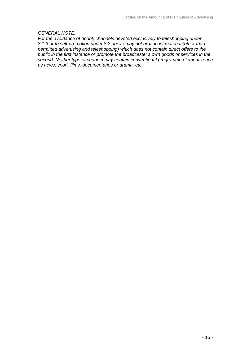#### *GENERAL NOTE:*

*For the avoidance of doubt, channels devoted exclusively to teleshopping under 8.1.3 or to self-promotion under 8.2 above may not broadcast material (other than permitted advertising and teleshopping) which does not contain direct offers to the public in the first instance or promote the broadcaster's own goods or services in the second. Neither type of channel may contain conventional programme elements such as news, sport, films, documentaries or drama, etc.*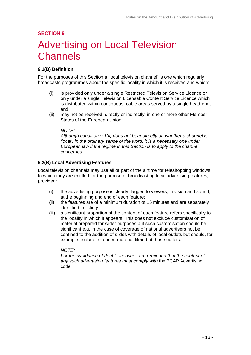# Advertising on Local Television Channels

#### **9.1(B) Definition**

For the purposes of this Section a 'local television channel' is one which regularly broadcasts programmes about the specific locality in which it is received and which:

- (i) is provided only under a single Restricted Television Service Licence or only under a single Television Licensable Content Service Licence which is distributed within contiguous cable areas served by a single head-end; and
- (ii) may not be received, directly or indirectly, in one or more other Member States of the European Union

#### *NOTE:*

*Although condition 9.1(ii) does not bear directly on whether a channel is 'local', in the ordinary sense of the word, it is a necessary one under European law if the regime in this Section is to apply to the channel concerned*

#### **9.2(B) Local Advertising Features**

Local television channels may use all or part of the airtime for teleshopping windows to which they are entitled for the purpose of broadcasting local advertising features, provided:

- (i) the advertising purpose is clearly flagged to viewers, in vision and sound, at the beginning and end of each feature;
- (ii) the features are of a minimum duration of 15 minutes and are separately identified in listings;
- (iii) a significant proportion of the content of each feature refers specifically to the locality in which it appears. This does not exclude customisation of material prepared for wider purposes but such customisation should be significant e.g. in the case of coverage of national advertisers not be confined to the addition of slides with details of local outlets but should, for example, include extended material filmed at those outlets.

 *NOTE:* 

*For the avoidance of doubt, licensees are reminded that the content of any such advertising features must comply with* the BCAP Advertising code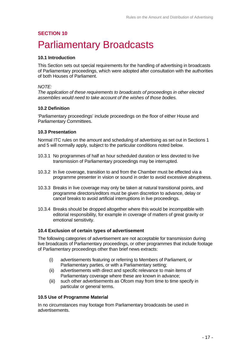### **SECTION 10**  Parliamentary Broadcasts

#### **10.1 Introduction**

This Section sets out special requirements for the handling of advertising in broadcasts of Parliamentary proceedings, which were adopted after consultation with the authorities of both Houses of Parliament.

#### *NOTE:*

*The application of these requirements to broadcasts of proceedings in other elected assemblies would need to take account of the wishes of those bodies.*

#### **10.2 Definition**

'Parliamentary proceedings' include proceedings on the floor of either House and Parliamentary Committees.

#### **10.3 Presentation**

Normal ITC rules on the amount and scheduling of advertising as set out in Sections 1 and 5 will normally apply, subject to the particular conditions noted below.

- 10.3.1 No programmes of half an hour scheduled duration or less devoted to live transmission of Parliamentary proceedings may be interrupted.
- 10.3.2 In live coverage, transition to and from the Chamber must be effected via a programme presenter in vision or sound in order to avoid excessive abruptness.
- 10.3.3 Breaks in live coverage may only be taken at natural transitional points, and programme directors/editors must be given discretion to advance, delay or cancel breaks to avoid artificial interruptions in live proceedings.
- 10.3.4 Breaks should be dropped altogether where this would be incompatible with editorial responsibility, for example in coverage of matters of great gravity or emotional sensitivity.

#### **10.4 Exclusion of certain types of advertisement**

The following categories of advertisement are not acceptable for transmission during live broadcasts of Parliamentary proceedings, or other programmes that include footage of Parliamentary proceedings other than brief news extracts:

- (i) advertisements featuring or referring to Members of Parliament, or Parliamentary parties, or with a Parliamentary setting;
- (ii) advertisements with direct and specific relevance to main items of Parliamentary coverage where these are known in advance;
- (iii) such other advertisements as Ofcom may from time to time specify in particular or general terms.

#### **10.5 Use of Programme Material**

In no circumstances may footage from Parliamentary broadcasts be used in advertisements.